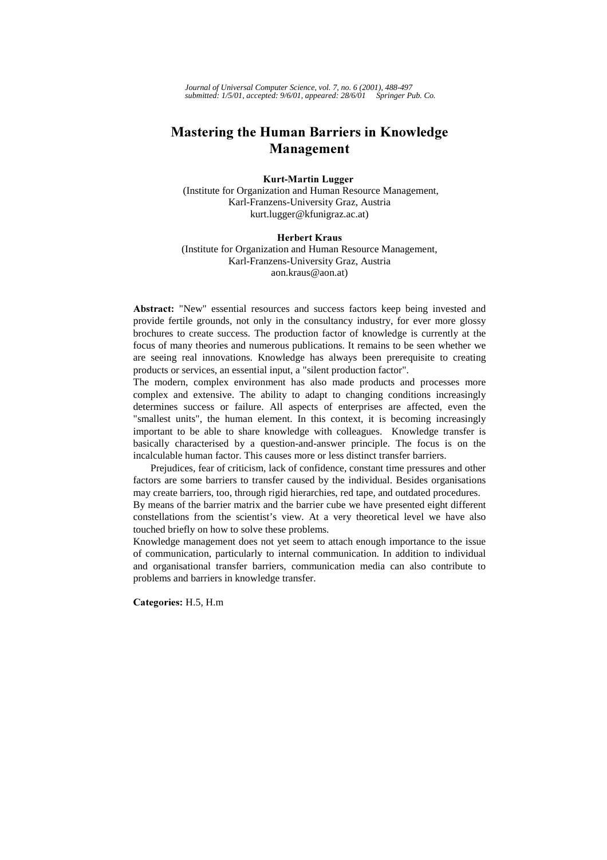*Journal of Universal Computer Science, vol. 7, no. 6 (2001), 488-497 submitted: 1/5/01, accepted: 9/6/01, appeared: 28/6/01 Springer Pub. Co.*

# **Mastering the Human Barriers in Knowledge Management**

#### **Kurt-Martin Lugger**

 (Institute for Organization and Human Resource Management, Karl-Franzens-University Graz, Austria kurt.lugger@kfunigraz.ac.at)

#### **Herbert Kraus**

(Institute for Organization and Human Resource Management, Karl-Franzens-University Graz, Austria aon.kraus@aon.at)

Abstract: "New" essential resources and success factors keep being invested and provide fertile grounds, not only in the consultancy industry, for ever more glossy brochures to create success. The production factor of knowledge is currently at the focus of many theories and numerous publications. It remains to be seen whether we are seeing real innovations. Knowledge has always been prerequisite to creating products or services, an essential input, a "silent production factor".

The modern, complex environment has also made products and processes more complex and extensive. The ability to adapt to changing conditions increasingly determines success or failure. All aspects of enterprises are affected, even the "smallest units", the human element. In this context, it is becoming increasingly important to be able to share knowledge with colleagues. Knowledge transfer is basically characterised by a question-and-answer principle. The focus is on the incalculable human factor. This causes more or less distinct transfer barriers.

Prejudices, fear of criticism, lack of confidence, constant time pressures and other factors are some barriers to transfer caused by the individual. Besides organisations may create barriers, too, through rigid hierarchies, red tape, and outdated procedures.

By means of the barrier matrix and the barrier cube we have presented eight different constellations from the scientist's view. At a very theoretical level we have also touched briefly on how to solve these problems.

Knowledge management does not yet seem to attach enough importance to the issue of communication, particularly to internal communication. In addition to individual and organisational transfer barriers, communication media can also contribute to problems and barriers in knowledge transfer.

Categories: H.5, H.m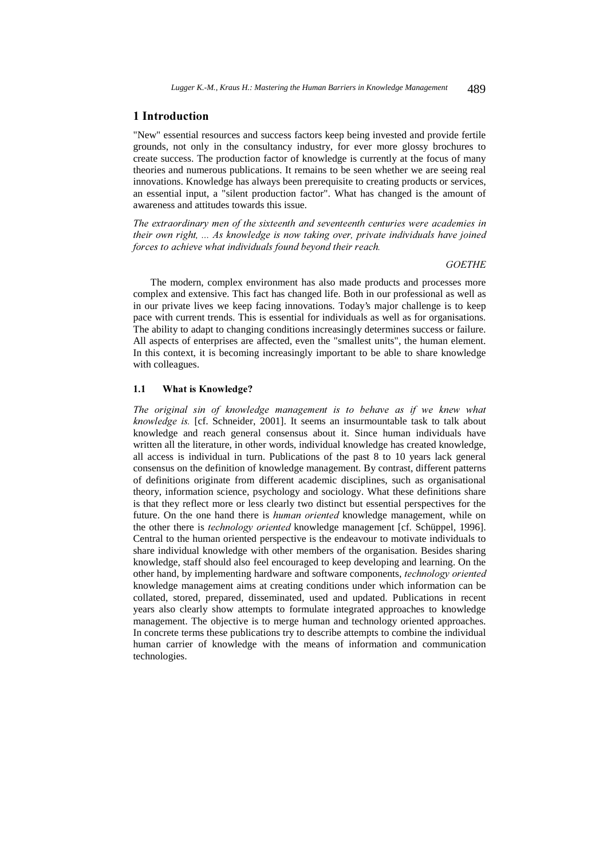## 1 Introduction

"New" essential resources and success factors keep being invested and provide fertile grounds, not only in the consultancy industry, for ever more glossy brochures to create success. The production factor of knowledge is currently at the focus of many theories and numerous publications. It remains to be seen whether we are seeing real innovations. Knowledge has always been prerequisite to creating products or services, an essential input, a "silent production factor". What has changed is the amount of awareness and attitudes towards this issue.

The extraordinary men of the sixteenth and seventeenth centuries were academies in their own right, ... As knowledge is now taking over, private individuals have joined forces to achieve what individuals found beyond their reach.

#### *GOETHE*

The modern, complex environment has also made products and processes more complex and extensive. This fact has changed life. Both in our professional as well as in our private lives we keep facing innovations. Today's major challenge is to keep pace with current trends. This is essential for individuals as well as for organisations. The ability to adapt to changing conditions increasingly determines success or failure. All aspects of enterprises are affected, even the "smallest units", the human element. In this context, it is becoming increasingly important to be able to share knowledge with colleagues.

#### 1.1 What is Knowledge?

The original sin of knowledge management is to behave as if we knew what knowledge is. [cf. Schneider, 2001]. It seems an insurmountable task to talk about knowledge and reach general consensus about it. Since human individuals have written all the literature, in other words, individual knowledge has created knowledge, all access is individual in turn. Publications of the past 8 to 10 years lack general consensus on the definition of knowledge management. By contrast, different patterns of definitions originate from different academic disciplines, such as organisational theory, information science, psychology and sociology. What these definitions share is that they reflect more or less clearly two distinct but essential perspectives for the future. On the one hand there is *human oriented* knowledge management, while on the other there is *technology oriented* knowledge management [cf. Schüppel, 1996]. Central to the human oriented perspective is the endeavour to motivate individuals to share individual knowledge with other members of the organisation. Besides sharing knowledge, staff should also feel encouraged to keep developing and learning. On the other hand, by implementing hardware and software components, technology oriented knowledge management aims at creating conditions under which information can be collated, stored, prepared, disseminated, used and updated. Publications in recent years also clearly show attempts to formulate integrated approaches to knowledge management. The objective is to merge human and technology oriented approaches. In concrete terms these publications try to describe attempts to combine the individual human carrier of knowledge with the means of information and communication technologies.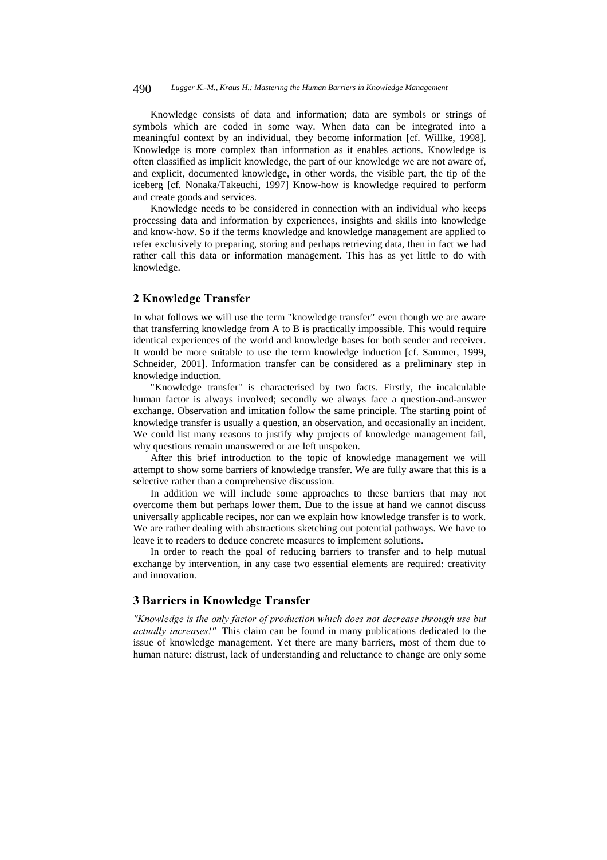#### 490 *Lugger K.-M., Kraus H.: Mastering the Human Barriers in Knowledge Management*

Knowledge consists of data and information; data are symbols or strings of symbols which are coded in some way. When data can be integrated into a meaningful context by an individual, they become information [cf. Willke, 1998]. Knowledge is more complex than information as it enables actions. Knowledge is often classified as implicit knowledge, the part of our knowledge we are not aware of, and explicit, documented knowledge, in other words, the visible part, the tip of the iceberg [cf. Nonaka/Takeuchi, 1997] Know-how is knowledge required to perform and create goods and services.

Knowledge needs to be considered in connection with an individual who keeps processing data and information by experiences, insights and skills into knowledge and know-how. So if the terms knowledge and knowledge management are applied to refer exclusively to preparing, storing and perhaps retrieving data, then in fact we had rather call this data or information management. This has as yet little to do with knowledge.

## 2 Knowledge Transfer

In what follows we will use the term "knowledge transfer" even though we are aware that transferring knowledge from A to B is practically impossible. This would require identical experiences of the world and knowledge bases for both sender and receiver. It would be more suitable to use the term knowledge induction [cf. Sammer, 1999, Schneider, 2001]. Information transfer can be considered as a preliminary step in knowledge induction.

"Knowledge transfer" is characterised by two facts. Firstly, the incalculable human factor is always involved; secondly we always face a question-and-answer exchange. Observation and imitation follow the same principle. The starting point of knowledge transfer is usually a question, an observation, and occasionally an incident. We could list many reasons to justify why projects of knowledge management fail, why questions remain unanswered or are left unspoken.

After this brief introduction to the topic of knowledge management we will attempt to show some barriers of knowledge transfer. We are fully aware that this is a selective rather than a comprehensive discussion.

In addition we will include some approaches to these barriers that may not overcome them but perhaps lower them. Due to the issue at hand we cannot discuss universally applicable recipes, nor can we explain how knowledge transfer is to work. We are rather dealing with abstractions sketching out potential pathways. We have to leave it to readers to deduce concrete measures to implement solutions.

In order to reach the goal of reducing barriers to transfer and to help mutual exchange by intervention, in any case two essential elements are required: creativity and innovation.

# 3 Barriers in Knowledge Transfer

"Knowledge is the only factor of production which does not decrease through use but actually increases!" This claim can be found in many publications dedicated to the issue of knowledge management. Yet there are many barriers, most of them due to human nature: distrust, lack of understanding and reluctance to change are only some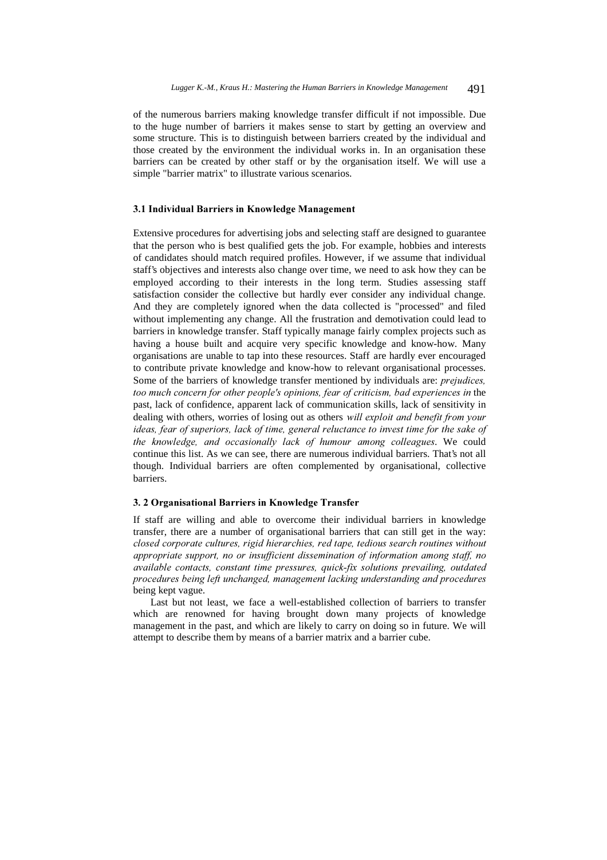of the numerous barriers making knowledge transfer difficult if not impossible. Due to the huge number of barriers it makes sense to start by getting an overview and some structure. This is to distinguish between barriers created by the individual and those created by the environment the individual works in. In an organisation these barriers can be created by other staff or by the organisation itself. We will use a simple "barrier matrix" to illustrate various scenarios.

#### 3.1 Individual Barriers in Knowledge Management

Extensive procedures for advertising jobs and selecting staff are designed to guarantee that the person who is best qualified gets the job. For example, hobbies and interests of candidates should match required profiles. However, if we assume that individual staff's objectives and interests also change over time, we need to ask how they can be employed according to their interests in the long term. Studies assessing staff satisfaction consider the collective but hardly ever consider any individual change. And they are completely ignored when the data collected is "processed" and filed without implementing any change. All the frustration and demotivation could lead to barriers in knowledge transfer. Staff typically manage fairly complex projects such as having a house built and acquire very specific knowledge and know-how. Many organisations are unable to tap into these resources. Staff are hardly ever encouraged to contribute private knowledge and know-how to relevant organisational processes. Some of the barriers of knowledge transfer mentioned by individuals are: *prejudices*, too much concern for other people's opinions, fear of criticism, bad experiences in the past, lack of confidence, apparent lack of communication skills, lack of sensitivity in dealing with others, worries of losing out as others will exploit and benefit from your ideas, fear of superiors, lack of time, general reluctance to invest time for the sake of the knowledge, and occasionally lack of humour among colleagues. We could continue this list. As we can see, there are numerous individual barriers. That's not all though. Individual barriers are often complemented by organisational, collective barriers.

### 3. 2 Organisational Barriers in Knowledge Transfer

If staff are willing and able to overcome their individual barriers in knowledge transfer, there are a number of organisational barriers that can still get in the way: closed corporate cultures, rigid hierarchies, red tape, tedious search routines without appropriate support, no or insufficient dissemination of information among staff, no available contacts, constant time pressures, quick-fix solutions prevailing, outdated procedures being left unchanged, management lacking understanding and procedures being kept vague.

Last but not least, we face a well-established collection of barriers to transfer which are renowned for having brought down many projects of knowledge management in the past, and which are likely to carry on doing so in future. We will attempt to describe them by means of a barrier matrix and a barrier cube.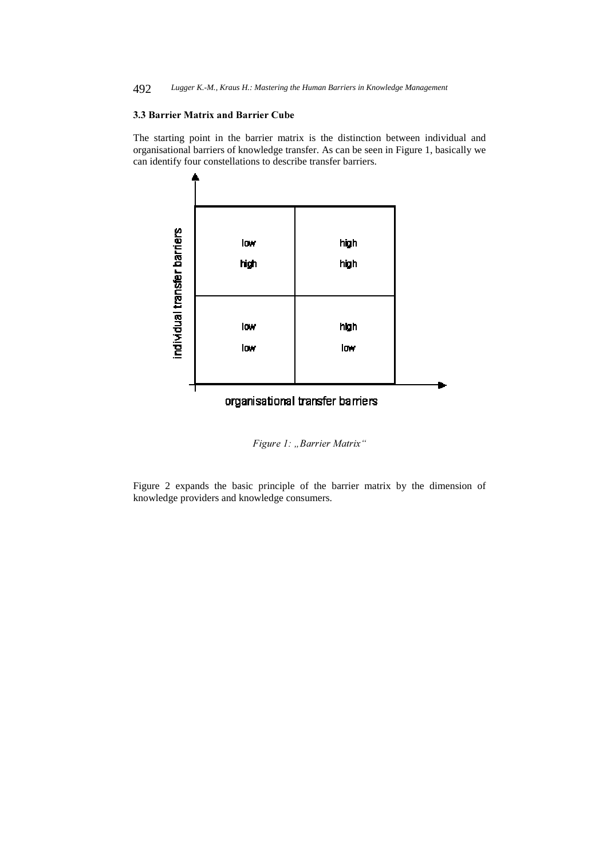492 *Lugger K.-M., Kraus H.: Mastering the Human Barriers in Knowledge Management*

#### 3.3 Barrier Matrix and Barrier Cube

The starting point in the barrier matrix is the distinction between individual and organisational barriers of knowledge transfer. As can be seen in Figure 1, basically we can identify four constellations to describe transfer barriers.



Figure 1: "Barrier Matrix"

Figure 2 expands the basic principle of the barrier matrix by the dimension of knowledge providers and knowledge consumers.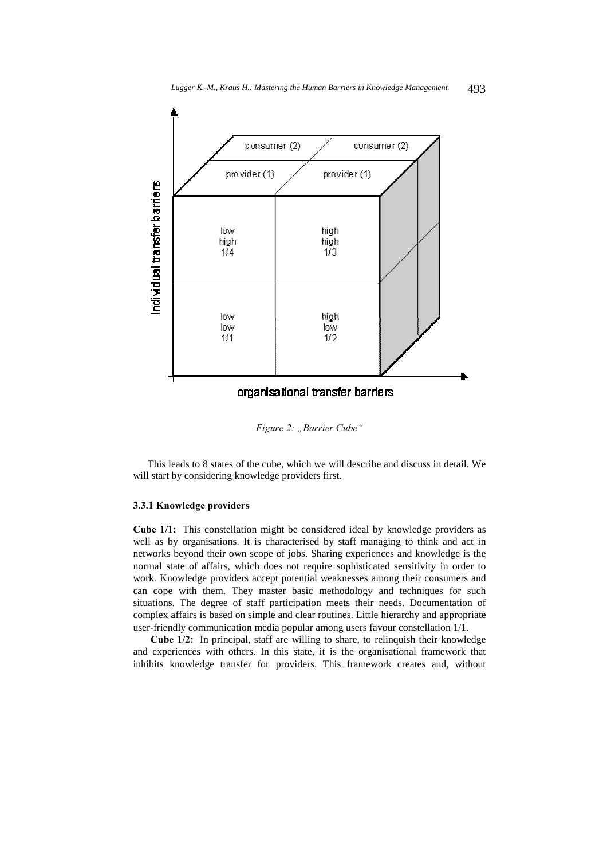

Figure 2: "Barrier Cube"

This leads to 8 states of the cube, which we will describe and discuss in detail. We will start by considering knowledge providers first.

#### 3.3.1 Knowledge providers

Cube 1/1: This constellation might be considered ideal by knowledge providers as well as by organisations. It is characterised by staff managing to think and act in networks beyond their own scope of jobs. Sharing experiences and knowledge is the normal state of affairs, which does not require sophisticated sensitivity in order to work. Knowledge providers accept potential weaknesses among their consumers and can cope with them. They master basic methodology and techniques for such situations. The degree of staff participation meets their needs. Documentation of complex affairs is based on simple and clear routines. Little hierarchy and appropriate user-friendly communication media popular among users favour constellation 1/1.

 )! In principal, staff are willing to share, to relinquish their knowledge and experiences with others. In this state, it is the organisational framework that inhibits knowledge transfer for providers. This framework creates and, without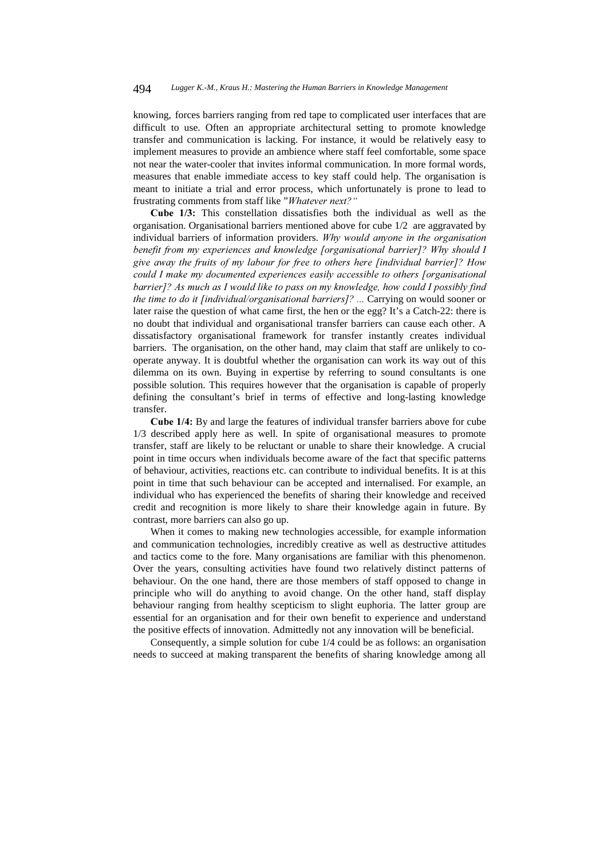knowing, forces barriers ranging from red tape to complicated user interfaces that are difficult to use. Often an appropriate architectural setting to promote knowledge transfer and communication is lacking. For instance, it would be relatively easy to implement measures to provide an ambience where staff feel comfortable, some space not near the water-cooler that invites informal communication. In more formal words, measures that enable immediate access to key staff could help. The organisation is meant to initiate a trial and error process, which unfortunately is prone to lead to frustrating comments from staff like "Whatever next?"

Cube 1/3: This constellation dissatisfies both the individual as well as the organisation. Organisational barriers mentioned above for cube 1/2 are aggravated by individual barriers of information providers. Why would anyone in the organisation benefit from my experiences and knowledge [organisational barrier]? Why should I give away the fruits of my labour for free to others here [individual barrier]? How could I make my documented experiences easily accessible to others [organisational barrier]? As much as I would like to pass on my knowledge, how could I possibly find the time to do it [individual/organisational barriers]? ... Carrying on would sooner or later raise the question of what came first, the hen or the egg? It's a Catch-22: there is no doubt that individual and organisational transfer barriers can cause each other. A dissatisfactory organisational framework for transfer instantly creates individual barriers. The organisation, on the other hand, may claim that staff are unlikely to cooperate anyway. It is doubtful whether the organisation can work its way out of this dilemma on its own. Buying in expertise by referring to sound consultants is one possible solution. This requires however that the organisation is capable of properly defining the consultant's brief in terms of effective and long-lasting knowledge transfer.

Cube 1/4: By and large the features of individual transfer barriers above for cube 1/3 described apply here as well. In spite of organisational measures to promote transfer, staff are likely to be reluctant or unable to share their knowledge. A crucial point in time occurs when individuals become aware of the fact that specific patterns of behaviour, activities, reactions etc. can contribute to individual benefits. It is at this point in time that such behaviour can be accepted and internalised. For example, an individual who has experienced the benefits of sharing their knowledge and received credit and recognition is more likely to share their knowledge again in future. By contrast, more barriers can also go up.

When it comes to making new technologies accessible, for example information and communication technologies, incredibly creative as well as destructive attitudes and tactics come to the fore. Many organisations are familiar with this phenomenon. Over the years, consulting activities have found two relatively distinct patterns of behaviour. On the one hand, there are those members of staff opposed to change in principle who will do anything to avoid change. On the other hand, staff display behaviour ranging from healthy scepticism to slight euphoria. The latter group are essential for an organisation and for their own benefit to experience and understand the positive effects of innovation. Admittedly not any innovation will be beneficial.

Consequently, a simple solution for cube 1/4 could be as follows: an organisation needs to succeed at making transparent the benefits of sharing knowledge among all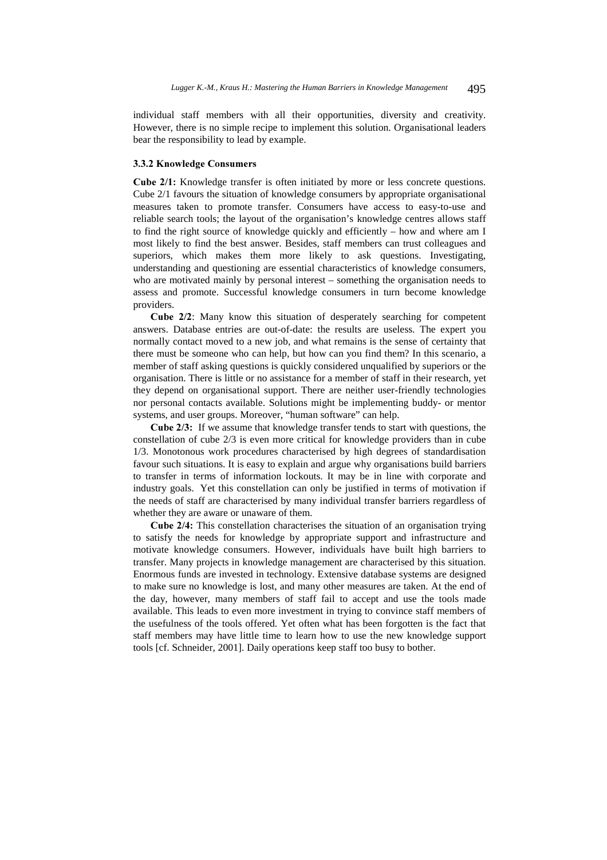individual staff members with all their opportunities, diversity and creativity. However, there is no simple recipe to implement this solution. Organisational leaders bear the responsibility to lead by example.

#### 3.3.2 Knowledge Consumers

Cube 2/1: Knowledge transfer is often initiated by more or less concrete questions. Cube 2/1 favours the situation of knowledge consumers by appropriate organisational measures taken to promote transfer. Consumers have access to easy-to-use and reliable search tools; the layout of the organisation's knowledge centres allows staff to find the right source of knowledge quickly and efficiently – how and where am I most likely to find the best answer. Besides, staff members can trust colleagues and superiors, which makes them more likely to ask questions. Investigating, understanding and questioning are essential characteristics of knowledge consumers, who are motivated mainly by personal interest – something the organisation needs to assess and promote. Successful knowledge consumers in turn become knowledge providers.

Cube 2/2: Many know this situation of desperately searching for competent answers. Database entries are out-of-date: the results are useless. The expert you normally contact moved to a new job, and what remains is the sense of certainty that there must be someone who can help, but how can you find them? In this scenario, a member of staff asking questions is quickly considered unqualified by superiors or the organisation. There is little or no assistance for a member of staff in their research, yet they depend on organisational support. There are neither user-friendly technologies nor personal contacts available. Solutions might be implementing buddy- or mentor systems, and user groups. Moreover, "human software" can help.

**Cube 2/3:** If we assume that knowledge transfer tends to start with questions, the constellation of cube 2/3 is even more critical for knowledge providers than in cube 1/3. Monotonous work procedures characterised by high degrees of standardisation favour such situations. It is easy to explain and argue why organisations build barriers to transfer in terms of information lockouts. It may be in line with corporate and industry goals. Yet this constellation can only be justified in terms of motivation if the needs of staff are characterised by many individual transfer barriers regardless of whether they are aware or unaware of them.

**Cube 2/4:** This constellation characterises the situation of an organisation trying to satisfy the needs for knowledge by appropriate support and infrastructure and motivate knowledge consumers. However, individuals have built high barriers to transfer. Many projects in knowledge management are characterised by this situation. Enormous funds are invested in technology. Extensive database systems are designed to make sure no knowledge is lost, and many other measures are taken. At the end of the day, however, many members of staff fail to accept and use the tools made available. This leads to even more investment in trying to convince staff members of the usefulness of the tools offered. Yet often what has been forgotten is the fact that staff members may have little time to learn how to use the new knowledge support tools [cf. Schneider, 2001]. Daily operations keep staff too busy to bother.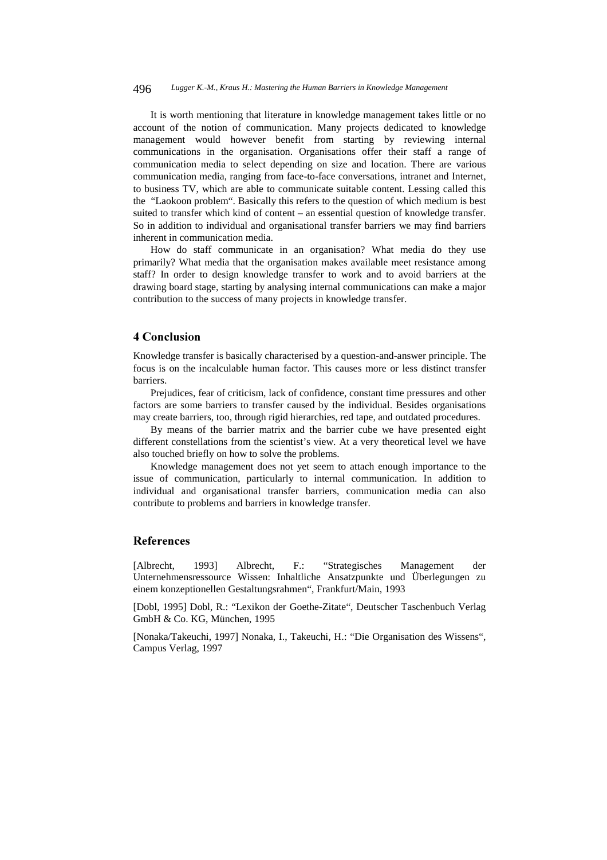#### 496 *Lugger K.-M., Kraus H.: Mastering the Human Barriers in Knowledge Management*

It is worth mentioning that literature in knowledge management takes little or no account of the notion of communication. Many projects dedicated to knowledge management would however benefit from starting by reviewing internal communications in the organisation. Organisations offer their staff a range of communication media to select depending on size and location. There are various communication media, ranging from face-to-face conversations, intranet and Internet, to business TV, which are able to communicate suitable content. Lessing called this the "Laokoon problem". Basically this refers to the question of which medium is best suited to transfer which kind of content – an essential question of knowledge transfer. So in addition to individual and organisational transfer barriers we may find barriers inherent in communication media.

How do staff communicate in an organisation? What media do they use primarily? What media that the organisation makes available meet resistance among staff? In order to design knowledge transfer to work and to avoid barriers at the drawing board stage, starting by analysing internal communications can make a major contribution to the success of many projects in knowledge transfer.

## 4 Conclusion

Knowledge transfer is basically characterised by a question-and-answer principle. The focus is on the incalculable human factor. This causes more or less distinct transfer barriers.

Prejudices, fear of criticism, lack of confidence, constant time pressures and other factors are some barriers to transfer caused by the individual. Besides organisations may create barriers, too, through rigid hierarchies, red tape, and outdated procedures.

By means of the barrier matrix and the barrier cube we have presented eight different constellations from the scientist's view. At a very theoretical level we have also touched briefly on how to solve the problems.

Knowledge management does not yet seem to attach enough importance to the issue of communication, particularly to internal communication. In addition to individual and organisational transfer barriers, communication media can also contribute to problems and barriers in knowledge transfer.

## **References**

[Albrecht, 1993] Albrecht, F.: "Strategisches Management der Unternehmensressource Wissen: Inhaltliche Ansatzpunkte und Überlegungen zu einem konzeptionellen Gestaltungsrahmen", Frankfurt/Main, 1993

[Dobl, 1995] Dobl, R.: "Lexikon der Goethe-Zitate", Deutscher Taschenbuch Verlag GmbH & Co. KG, München, 1995

[Nonaka/Takeuchi, 1997] Nonaka, I., Takeuchi, H.: "Die Organisation des Wissens", Campus Verlag, 1997